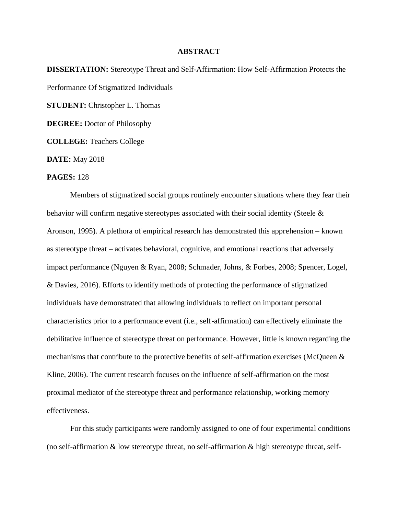## **ABSTRACT**

**DISSERTATION:** Stereotype Threat and Self-Affirmation: How Self-Affirmation Protects the Performance Of Stigmatized Individuals **STUDENT:** Christopher L. Thomas **DEGREE:** Doctor of Philosophy **COLLEGE:** Teachers College **DATE:** May 2018

## **PAGES:** 128

Members of stigmatized social groups routinely encounter situations where they fear their behavior will confirm negative stereotypes associated with their social identity (Steele & Aronson, 1995). A plethora of empirical research has demonstrated this apprehension – known as stereotype threat – activates behavioral, cognitive, and emotional reactions that adversely impact performance (Nguyen & Ryan, 2008; Schmader, Johns, & Forbes, 2008; Spencer, Logel, & Davies, 2016). Efforts to identify methods of protecting the performance of stigmatized individuals have demonstrated that allowing individuals to reflect on important personal characteristics prior to a performance event (i.e., self-affirmation) can effectively eliminate the debilitative influence of stereotype threat on performance. However, little is known regarding the mechanisms that contribute to the protective benefits of self-affirmation exercises (McQueen & Kline, 2006). The current research focuses on the influence of self-affirmation on the most proximal mediator of the stereotype threat and performance relationship, working memory effectiveness.

For this study participants were randomly assigned to one of four experimental conditions (no self-affirmation  $&$  low stereotype threat, no self-affirmation  $&$  high stereotype threat, self